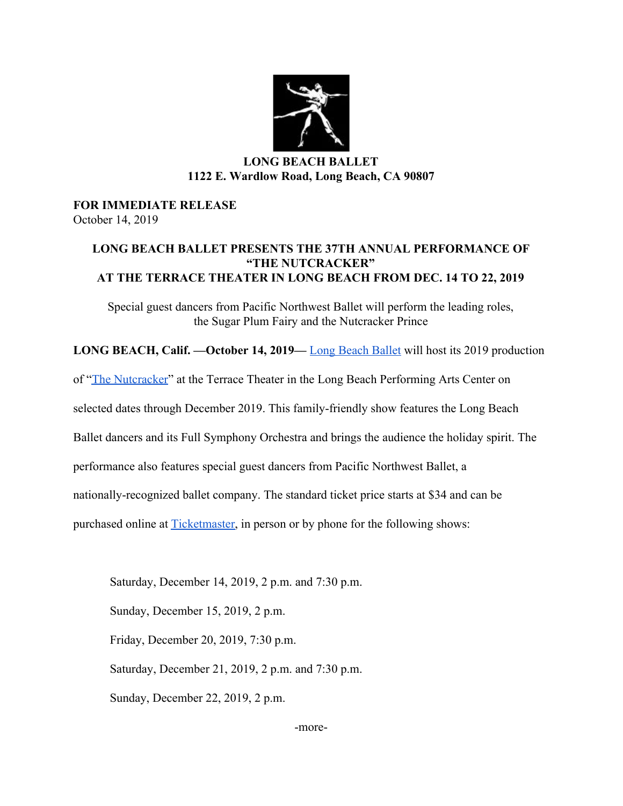

### **LONG BEACH BALLET 1122 E. Wardlow Road, Long Beach, CA 90807**

#### **FOR IMMEDIATE RELEASE** October 14, 2019

### **LONG BEACH BALLET PRESENTS THE 37TH ANNUAL PERFORMANCE OF "THE NUTCRACKER" AT THE TERRACE THEATER IN LONG BEACH FROM DEC. 14 TO 22, 2019**

Special guest dancers from Pacific Northwest Ballet will perform the leading roles, the Sugar Plum Fairy and the Nutcracker Prince

**LONG BEACH, Calif. —October 14, 2019—** [Long Beach Ballet](https://longbeachballet.com/) will host its 2019 production

of ["The Nutcracker](https://longbeachnutcracker.com/)" at the Terrace Theater in the Long Beach Performing Arts Center on

selected dates through December 2019. This family-friendly show features the Long Beach

Ballet dancers and its Full Symphony Orchestra and brings the audience the holiday spirit. The

performance also features special guest dancers from Pacific Northwest Ballet, a

nationally-recognized ballet company. The standard ticket price starts at \$34 and can be

purchased online at **Ticketmaster**, in person or by phone for the following shows:

Saturday, December 14, 2019, 2 p.m. and 7:30 p.m.

Sunday, December 15, 2019, 2 p.m.

Friday, December 20, 2019, 7:30 p.m.

Saturday, December 21, 2019, 2 p.m. and 7:30 p.m.

Sunday, December 22, 2019, 2 p.m.

-more-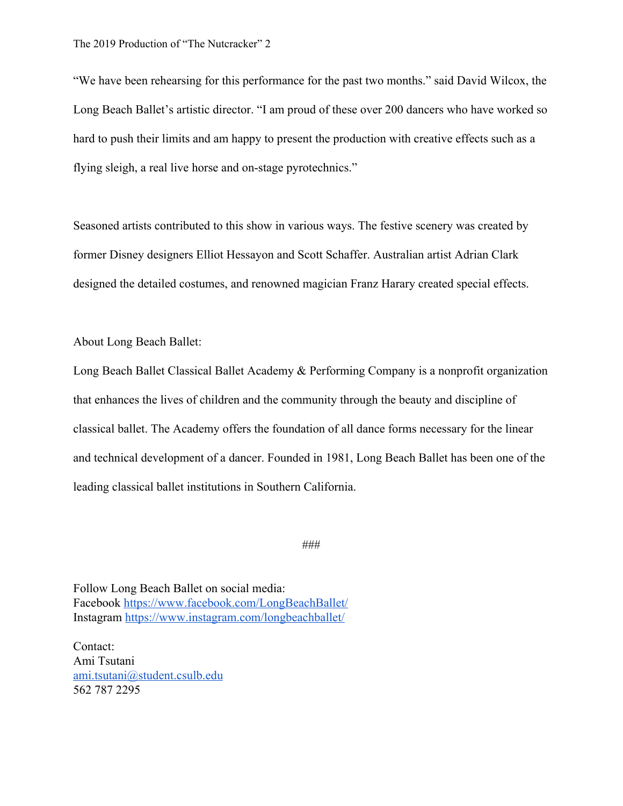"We have been rehearsing for this performance for the past two months." said David Wilcox, the Long Beach Ballet's artistic director. "I am proud of these over 200 dancers who have worked so hard to push their limits and am happy to present the production with creative effects such as a flying sleigh, a real live horse and on-stage pyrotechnics."

Seasoned artists contributed to this show in various ways. The festive scenery was created by former Disney designers Elliot Hessayon and Scott Schaffer. Australian artist Adrian Clark designed the detailed costumes, and renowned magician Franz Harary created special effects.

About Long Beach Ballet:

Long Beach Ballet Classical Ballet Academy & Performing Company is a nonprofit organization that enhances the lives of children and the community through the beauty and discipline of classical ballet. The Academy offers the foundation of all dance forms necessary for the linear and technical development of a dancer. Founded in 1981, Long Beach Ballet has been one of the leading classical ballet institutions in Southern California.

###

Follow Long Beach Ballet on social media: Facebook <https://www.facebook.com/LongBeachBallet/> Instagram <https://www.instagram.com/longbeachballet/>

Contact: Ami Tsutani [ami.tsutani@student.csulb.edu](mailto:ami.tsutani@student.csulb.edu) 562 787 2295